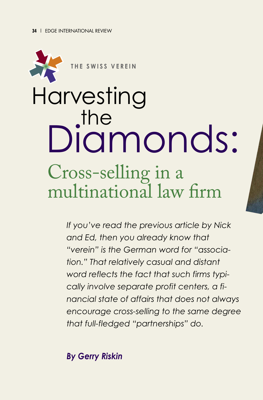

# Harvesting the Diamonds: Cross-selling in a multinational law firm

*If you've read the previous article by Nick and Ed, then you already know that "verein" is the German word for "association." That relatively casual and distant word reflects the fact that such firms typically involve separate profit centers, a financial state of affairs that does not always encourage cross-selling to the same degree that full-fledged "partnerships" do.*

*By Gerry Riskin*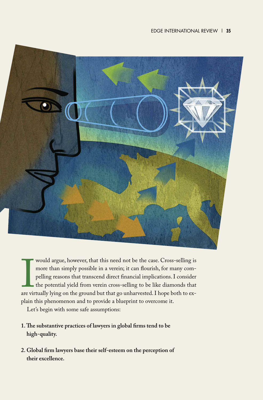

would argue, however, that this need not be the case. Cross-selling is<br>more than simply possible in a verein; it can flourish, for many com-<br>pelling reasons that transcend direct financial implications. I consider<br>the pote would argue, however, that this need not be the case. Cross-selling is more than simply possible in a verein; it can flourish, for many compelling reasons that transcend direct financial implications.I consider the potential yield from verein cross-selling to be like diamonds that plain this phenomenon and to provide a blueprint to overcome it.

Let's begin with some safe assumptions:

- **1.The substantive practices of lawyers in global firms tend to be high-quality.**
- **2. Global firm lawyers base their self-esteem on the perception of their excellence.**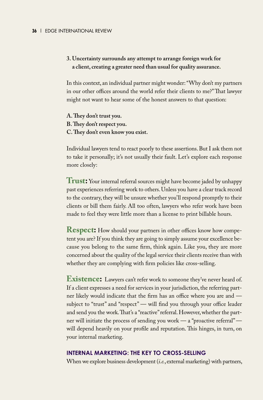## **3. Uncertainty surrounds any attempt to arrange foreign work for a client, creating a greater need than usual for quality assurance.**

In this context, an individual partner might wonder:"Why don't my partners in our other offices around the world refer their clients to me?"That lawyer might not want to hear some of the honest answers to that question:

**A.They don't trust you. B.They don't respect you. C.They don't even know you exist.**

Individual lawyers tend to react poorly to these assertions.But I ask them not to take it personally; it's not usually their fault. Let's explore each response more closely:

**Trust:** Your internal referral sources might have become jaded by unhappy past experiences referring work to others.Unless you have a clear track record to the contrary, they will be unsure whether you'll respond promptly to their clients or bill them fairly. All too often, lawyers who refer work have been made to feel they were little more than a license to print billable hours.

**Respect:** How should your partners in other offices know how competent you are? If you think they are going to simply assume your excellence because you belong to the same firm, think again. Like you, they are more concerned about the quality of the legal service their clients receive than with whether they are complying with firm policies like cross-selling.

**Existence:** Lawyers can't refer work to someone they've never heard of. If a client expresses a need for services in your jurisdiction, the referring partner likely would indicate that the firm has an office where you are and subject to "trust" and "respect" — will find you through your office leader and send you the work. That's a "reactive" referral. However, whether the partner will initiate the process of sending you work — a "proactive referral" will depend heavily on your profile and reputation.This hinges, in turn, on your internal marketing.

### **INTERNAL MARKETING: THE KEY TO CROSS-SELLING**

When we explore business development (*i.e.*, external marketing) with partners,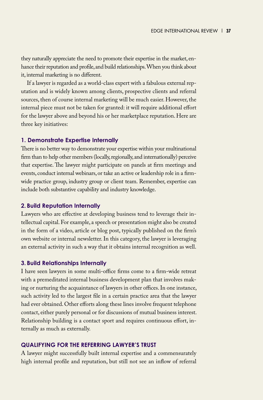they naturally appreciate the need to promote their expertise in the market, enhance their reputation and profile, and build relationships. When you think about it, internal marketing is no different.

If a lawyer is regarded as a world-class expert with a fabulous external reputation and is widely known among clients, prospective clients and referral sources, then of course internal marketing will be much easier. However, the internal piece must not be taken for granted: it will require additional effort for the lawyer above and beyond his or her marketplace reputation. Here are three key initiatives:

#### **1. Demonstrate Expertise Internally**

There is no better way to demonstrate your expertise within your multinational firm than to help other members (locally, regionally, and internationally) perceive that expertise. The lawyer might participate on panels at firm meetings and events, conduct internal webinars, or take an active or leadership role in a firmwide practice group, industry group or client team. Remember, expertise can include both substantive capability and industry knowledge.

#### **2. Build Reputation Internally**

Lawyers who are effective at developing business tend to leverage their intellectual capital.For example, a speech or presentation might also be created in the form of a video, article or blog post, typically published on the firm's own website or internal newsletter.In this category, the lawyer is leveraging an external activity in such a way that it obtains internal recognition as well.

#### **3. Build Relationships Internally**

I have seen lawyers in some multi-office firms come to a firm-wide retreat with a premeditated internal business development plan that involves making or nurturing the acquaintance of lawyers in other offices. In one instance, such activity led to the largest file in a certain practice area that the lawyer had ever obtained. Other efforts along these lines involve frequent telephone contact, either purely personal or for discussions of mutual business interest. Relationship building is a contact sport and requires continuous effort, internally as much as externally.

#### **QUALIFYING FOR THE REFERRING LAWYER'S TRUST**

A lawyer might successfully built internal expertise and a commensurately high internal profile and reputation, but still not see an inflow of referral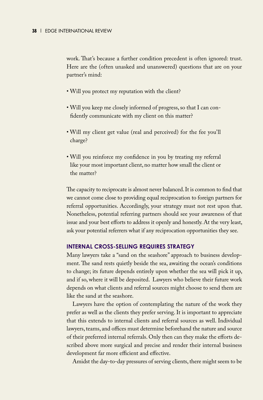work. That's because a further condition precedent is often ignored: trust. Here are the (often unasked and unanswered) questions that are on your partner's mind:

- Will you protect my reputation with the client?
- Will you keep me closely informed of progress, so that I can confidently communicate with my client on this matter?
- Will my client get value (real and perceived) for the fee you'll charge?
- Will you reinforce my confidence in you by treating my referral like your most important client, no matter how small the client or the matter?

The capacity to reciprocate is almost never balanced.It is common to find that we cannot come close to providing equal reciprocation to foreign partners for referral opportunities. Accordingly, your strategy must not rest upon that. Nonetheless, potential referring partners should see your awareness of that issue and your best efforts to address it openly and honestly. At the very least, ask your potential referrers what if any reciprocation opportunities they see.

#### **INTERNAL CROSS-SELLING REQUIRES STRATEGY**

Many lawyers take a "sand on the seashore" approach to business development.The sand rests quietly beside the sea, awaiting the ocean's conditions to change; its future depends entirely upon whether the sea will pick it up, and if so, where it will be deposited. Lawyers who believe their future work depends on what clients and referral sources might choose to send them are like the sand at the seashore.

Lawyers have the option of contemplating the nature of the work they prefer as well as the clients they prefer serving.It is important to appreciate that this extends to internal clients and referral sources as well. Individual lawyers, teams, and offices must determine beforehand the nature and source of their preferred internal referrals. Only then can they make the efforts described above more surgical and precise and render their internal business development far more efficient and effective.

Amidst the day-to-day pressures of serving clients, there might seem to be